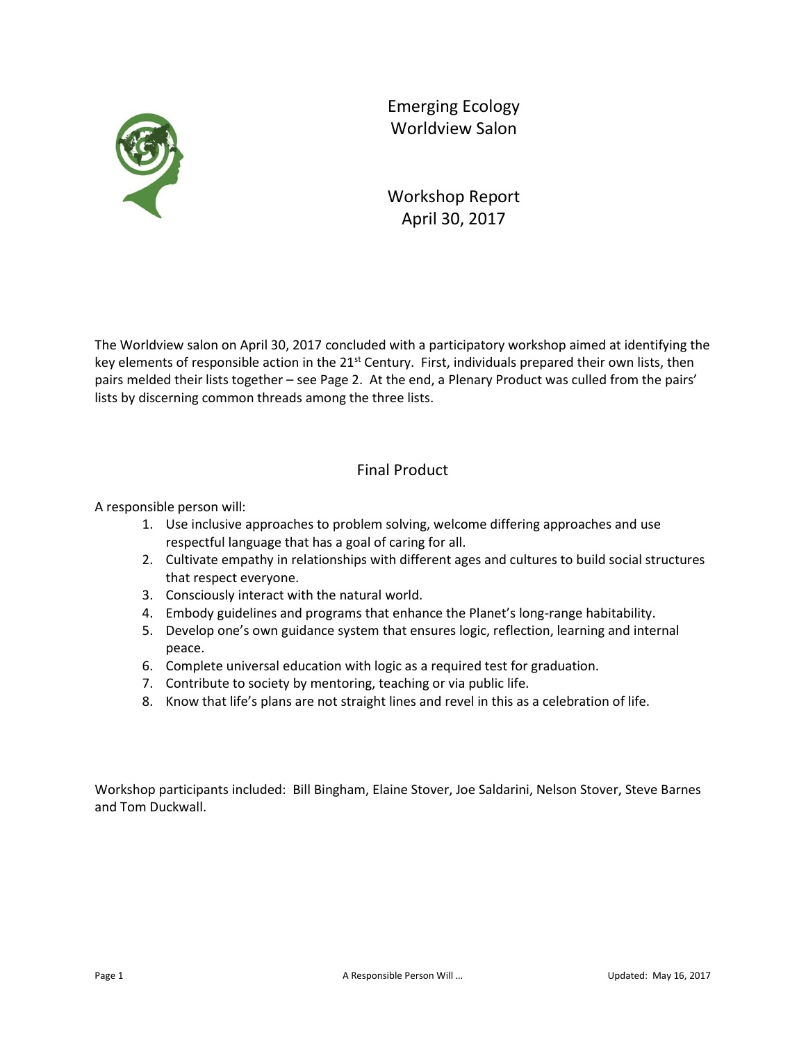

Emerging Ecology Worldview Salon

Workshop Report April 30, 2017

The Worldview salon on April 30, 2017 concluded with a participatory workshop aimed at identifying the key elements of responsible action in the 21<sup>st</sup> Century. First, individuals prepared their own lists, then pairs melded their lists together – see Page 2. At the end, a Plenary Product was culled from the pairs' lists by discerning common threads among the three lists.

## Final Product

A responsible person will:

- 1. Use inclusive approaches to problem solving, welcome differing approaches and use respectful language that has a goal of caring for all.
- 2. Cultivate empathy in relationships with different ages and cultures to build social structures that respect everyone.
- 3. Consciously interact with the natural world.
- 4. Embody guidelines and programs that enhance the Planet's long-range habitability.
- 5. Develop one's own guidance system that ensures logic, reflection, learning and internal peace.
- 6. Complete universal education with logic as a required test for graduation.
- 7. Contribute to society by mentoring, teaching or via public life.
- 8. Know that life's plans are not straight lines and revel in this as a celebration of life.

Workshop participants included: Bill Bingham, Elaine Stover, Joe Saldarini, Nelson Stover, Steve Barnes and Tom Duckwall.